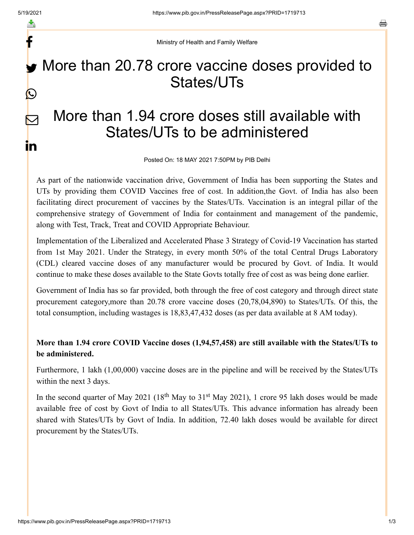f

 $\bm{\nabla}$ 

in

a

Ministry of Health and Family Welfare

## More than 20.78 crore vaccine doses provided to States/UTs  $\bigcirc$

## More than 1.94 crore doses still available with States/UTs to be administered

Posted On: 18 MAY 2021 7:50PM by PIB Delhi

As part of the nationwide vaccination drive, Government of India has been supporting the States and UTs by providing them COVID Vaccines free of cost. In addition,the Govt. of India has also been facilitating direct procurement of vaccines by the States/UTs. Vaccination is an integral pillar of the comprehensive strategy of Government of India for containment and management of the pandemic, along with Test, Track, Treat and COVID Appropriate Behaviour.

Implementation of the Liberalized and Accelerated Phase 3 Strategy of Covid-19 Vaccination has started from 1st May 2021. Under the Strategy, in every month 50% of the total Central Drugs Laboratory (CDL) cleared vaccine doses of any manufacturer would be procured by Govt. of India. It would continue to make these doses available to the State Govts totally free of cost as was being done earlier.

Government of India has so far provided, both through the free of cost category and through direct state procurement category,more than 20.78 crore vaccine doses (20,78,04,890) to States/UTs. Of this, the total consumption, including wastages is 18,83,47,432 doses (as per data available at 8 AM today).

## **More than 1.94 crore COVID Vaccine doses (1,94,57,458) are still available with the States/UTs to be administered.**

Furthermore, 1 lakh (1,00,000) vaccine doses are in the pipeline and will be received by the States/UTs within the next 3 days.

In the second quarter of May 2021  $(18<sup>th</sup>$  May to 31<sup>st</sup> May 2021), 1 crore 95 lakh doses would be made available free of cost by Govt of India to all States/UTs. This advance information has already been shared with States/UTs by Govt of India. In addition, 72.40 lakh doses would be available for direct procurement by the States/UTs.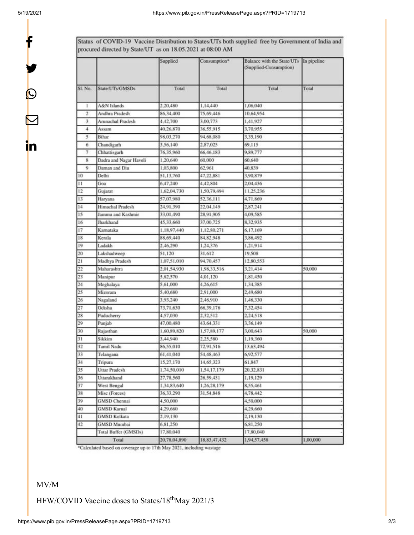f

y.

 $\bm{\mathcal{Q}}$ 

 $\bm{\nabla}$ 

in

Status of COVID-19 Vaccine Distribution to States/UTs both supplied free by Government of India and procured directed by State/UT as on 18.05.2021 at 08:00 AM

|         |                        | Supplied     | Consumption* | Balance with the State/UTs In pipeline<br>(Supplied-Consumption) |          |
|---------|------------------------|--------------|--------------|------------------------------------------------------------------|----------|
| SL No.  | State/UTs/GMSDs        | Total        | Total        | Total                                                            | Total    |
| r       | A&N Islands            | 2,20,480     | 1,14,440     | 1,06,040                                                         |          |
| 2       | Andhra Pradesh         | 86,34,400    | 75,69,446    | 10.64.954                                                        |          |
| 3       | Arunachal Pradesh      | 4,42,700     | 3,00,773     | 1,41,927                                                         |          |
| 4       | Assam                  | 40,26,870    | 36,55,915    | 3,70,955                                                         |          |
| 5       | Bihar                  | 98,03,270    | 94,68,080    | 3,35,190                                                         |          |
| 6       | Chandigarh             | 3,56,140     | 2,87,025     | 69.115                                                           |          |
| $\tau$  | Chhattisgarh           | 76,35,960    | 66,46,183    | 9,89,777                                                         |          |
| 8       | Dadra and Nagar Haveli | 1,20,640     | 60,000       | 60,640                                                           |          |
| 9       | Daman and Diu          | 1,03,800     | 62,961       | 40,839                                                           |          |
| 10      | Delhi                  | 51,13,760    | 47,22,881    | 3,90,879                                                         |          |
| $^{11}$ | Goa                    | 6,47,240     | 4,42,804     | 2,04,436                                                         |          |
| 12      | Gujarat                | 1.62.04.730  | 1,50,79,494  | 11,25,236                                                        |          |
| 13      | Haryana                | 57,07,980    | 52,36,111    | 4,71,869                                                         |          |
| 14      | Himachal Pradesh       | 24.91.390    | 22,04,149    | 2,87,241                                                         |          |
| 15      | Jammu and Kashmir      | 33,01,490    | 28,91,905    | 4,09,585                                                         |          |
| 16      | Jharkhand              | 45,33,660    | 37,00.725    | 8,32,935                                                         |          |
| 17      | Karnataka              | 1,18,97,440  | 1,12,80,271  | 6,17,169                                                         |          |
| 18      | Kerala                 | 88,69,440    | 84, 82, 948  | 3,86,492                                                         |          |
| 19      | Ladakh                 | 2,46,290     | 1,24,376     | 1,21,914                                                         |          |
| 20      | Lakshadweep            | 51,120       | 31.612       | 19,508                                                           |          |
| 21      | Madhya Pradesh         | 1,07,51,010  | 94,70,457    | 12.80,553                                                        |          |
| 22      | Maharashtra            | 2,01,54,930  | 1.98,33,516  | 3,21,414                                                         | 50,000   |
| 23      | Manipur                | 5,82,570     | 4,01,120     | 1,81,450                                                         |          |
| 24      | Meghalaya              | 5,61,000     | 4,26,615     | 1,34,385                                                         |          |
| 25      | Mizoram                | 5,40,680     | 2,91,000     | 2,49,680                                                         |          |
| 26      | Nagaland               | 3,93,240     | 2,46,910     | 1,46,330                                                         |          |
| 27      | Odisha                 | 73,71,630    | 66,39,176    | 7,32,454                                                         |          |
| 28      | Puducherry             | 4,57,030     | 2,32,512     | 2,24,518                                                         |          |
| 29      | Punjab                 | 47,00,480    | 43,64,331    | 3,36,149                                                         |          |
| 30      | Rajasthan              | 1,60,89,820  | 1,57,89,177  | 3,00,643                                                         | 50,000   |
| 31      | Sikkim                 | 3,44,940     | 2,25,580     | 1,19,360                                                         |          |
| 32      | Tamil Nadu             | 86,55,010    | 72,91,516    | 13,63,494                                                        |          |
| 33      | Telangana              | 61,41,040    | 54,48,463    | 6.92.577                                                         |          |
| 34      | Tripura                | 15,27,170    | 14,65,323    | 61,847                                                           |          |
| 35      | Uttar Pradesh          | 1,74,50,010  | 1,54,17,179  | 20,32,831                                                        |          |
| 36      | Uttarakhand            | 27,78,560    | 26,59,431    | 1.19.129                                                         |          |
| 37      | West Bengal            | 1,34,83,640  | 1,26,28,179  | 8,55,461                                                         |          |
| 38      | Misc (Forces)          | 36,33,290    | 31,54,848    | 4,78,442                                                         |          |
| 39      | <b>GMSD</b> Chennai    | 4,50,000     |              | 4,50,000                                                         |          |
| 40      | <b>GMSD Karnal</b>     | 4,29,660     |              | 4,29,660                                                         |          |
| 41      | <b>GMSD Kolkata</b>    | 2,19,130     |              | 2,19,130                                                         |          |
| 42      | <b>GMSD Mumbai</b>     | 6,81,250     |              | 6,81,250                                                         |          |
|         | Total Buffer (GMSDs)   | 17,80,040    |              | 17,80,040                                                        |          |
|         | Total                  | 20,78,04,890 | 18,83,47,432 | 1,94,57,458                                                      | 1,00,000 |

\*Calculated based on coverage up to 17th May 2021, including wastage

## MV/M

HFW/COVID Vaccine doses to States/18<sup>th</sup>May 2021/3